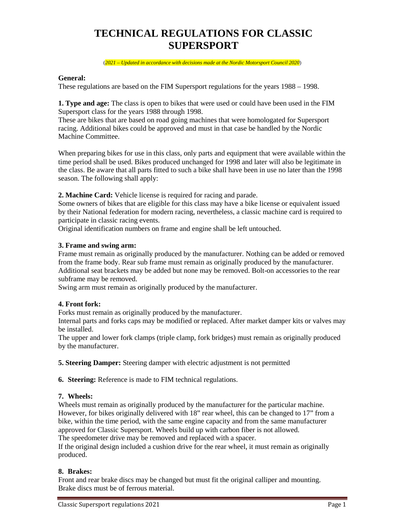# **TECHNICAL REGULATIONS FOR CLASSIC SUPERSPORT**

(*2021 – Updated in accordance with decisions made at the Nordic Motorsport Council 2020*)

### **General:**

These regulations are based on the FIM Supersport regulations for the years 1988 – 1998.

**1. Type and age:** The class is open to bikes that were used or could have been used in the FIM Supersport class for the years 1988 through 1998.

These are bikes that are based on road going machines that were homologated for Supersport racing. Additional bikes could be approved and must in that case be handled by the Nordic Machine Committee.

When preparing bikes for use in this class, only parts and equipment that were available within the time period shall be used. Bikes produced unchanged for 1998 and later will also be legitimate in the class. Be aware that all parts fitted to such a bike shall have been in use no later than the 1998 season. The following shall apply:

**2. Machine Card:** Vehicle license is required for racing and parade.

Some owners of bikes that are eligible for this class may have a bike license or equivalent issued by their National federation for modern racing, nevertheless, a classic machine card is required to participate in classic racing events.

Original identification numbers on frame and engine shall be left untouched.

#### **3. Frame and swing arm:**

Frame must remain as originally produced by the manufacturer. Nothing can be added or removed from the frame body. Rear sub frame must remain as originally produced by the manufacturer. Additional seat brackets may be added but none may be removed. Bolt-on accessories to the rear subframe may be removed.

Swing arm must remain as originally produced by the manufacturer.

## **4. Front fork:**

Forks must remain as originally produced by the manufacturer.

Internal parts and forks caps may be modified or replaced. After market damper kits or valves may be installed.

The upper and lower fork clamps (triple clamp, fork bridges) must remain as originally produced by the manufacturer.

**5. Steering Damper:** Steering damper with electric adjustment is not permitted

**6. Steering:** Reference is made to FIM technical regulations.

#### **7. Wheels:**

Wheels must remain as originally produced by the manufacturer for the particular machine. However, for bikes originally delivered with 18" rear wheel, this can be changed to 17" from a bike, within the time period, with the same engine capacity and from the same manufacturer approved for Classic Supersport. Wheels build up with carbon fiber is not allowed.

The speedometer drive may be removed and replaced with a spacer.

If the original design included a cushion drive for the rear wheel, it must remain as originally produced.

#### **8. Brakes:**

Front and rear brake discs may be changed but must fit the original calliper and mounting. Brake discs must be of ferrous material.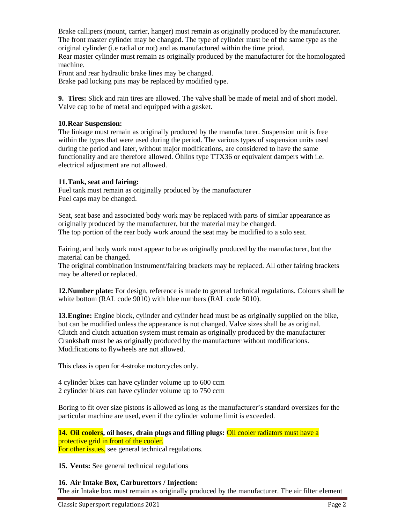Brake callipers (mount, carrier, hanger) must remain as originally produced by the manufacturer. The front master cylinder may be changed. The type of cylinder must be of the same type as the original cylinder (i.e radial or not) and as manufactured within the time priod. Rear master cylinder must remain as originally produced by the manufacturer for the homologated machine.

Front and rear hydraulic brake lines may be changed.

Brake pad locking pins may be replaced by modified type.

**9. Tires:** Slick and rain tires are allowed. The valve shall be made of metal and of short model. Valve cap to be of metal and equipped with a gasket.

# **10.Rear Suspension:**

The linkage must remain as originally produced by the manufacturer. Suspension unit is free within the types that were used during the period. The various types of suspension units used during the period and later, without major modifications, are considered to have the same functionality and are therefore allowed. Öhlins type TTX36 or equivalent dampers with i.e. electrical adjustment are not allowed.

# **11.Tank, seat and fairing:**

Fuel tank must remain as originally produced by the manufacturer Fuel caps may be changed.

Seat, seat base and associated body work may be replaced with parts of similar appearance as originally produced by the manufacturer, but the material may be changed. The top portion of the rear body work around the seat may be modified to a solo seat.

Fairing, and body work must appear to be as originally produced by the manufacturer, but the material can be changed.

The original combination instrument/fairing brackets may be replaced. All other fairing brackets may be altered or replaced.

**12.Number plate:** For design, reference is made to general technical regulations. Colours shall be white bottom (RAL code 9010) with blue numbers (RAL code 5010).

**13.Engine:** Engine block, cylinder and cylinder head must be as originally supplied on the bike, but can be modified unless the appearance is not changed. Valve sizes shall be as original. Clutch and clutch actuation system must remain as originally produced by the manufacturer Crankshaft must be as originally produced by the manufacturer without modifications. Modifications to flywheels are not allowed.

This class is open for 4-stroke motorcycles only.

4 cylinder bikes can have cylinder volume up to 600 ccm

2 cylinder bikes can have cylinder volume up to 750 ccm

Boring to fit over size pistons is allowed as long as the manufacturer's standard oversizes for the particular machine are used, even if the cylinder volume limit is exceeded.

**14. Oil coolers, oil hoses, drain plugs and filling plugs:** Oil cooler radiators must have a protective grid in front of the cooler.

For other issues, see general technical regulations.

**15. Vents:** See general technical regulations

# **16. Air Intake Box, Carburettors / Injection:**

The air Intake box must remain as originally produced by the manufacturer. The air filter element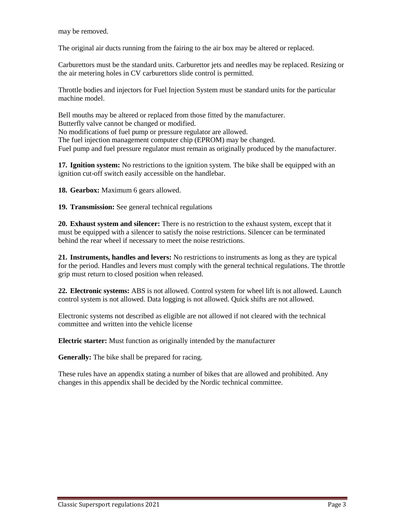may be removed.

The original air ducts running from the fairing to the air box may be altered or replaced.

Carburettors must be the standard units. Carburettor jets and needles may be replaced. Resizing or the air metering holes in CV carburettors slide control is permitted.

Throttle bodies and injectors for Fuel Injection System must be standard units for the particular machine model.

Bell mouths may be altered or replaced from those fitted by the manufacturer. Butterfly valve cannot be changed or modified. No modifications of fuel pump or pressure regulator are allowed. The fuel injection management computer chip (EPROM) may be changed. Fuel pump and fuel pressure regulator must remain as originally produced by the manufacturer.

**17. Ignition system:** No restrictions to the ignition system. The bike shall be equipped with an ignition cut-off switch easily accessible on the handlebar.

**18. Gearbox:** Maximum 6 gears allowed.

**19. Transmission:** See general technical regulations

**20. Exhaust system and silencer:** There is no restriction to the exhaust system, except that it must be equipped with a silencer to satisfy the noise restrictions. Silencer can be terminated behind the rear wheel if necessary to meet the noise restrictions.

**21. Instruments, handles and levers:** No restrictions to instruments as long as they are typical for the period. Handles and levers must comply with the general technical regulations. The throttle grip must return to closed position when released.

**22. Electronic systems:** ABS is not allowed. Control system for wheel lift is not allowed. Launch control system is not allowed. Data logging is not allowed. Quick shifts are not allowed.

Electronic systems not described as eligible are not allowed if not cleared with the technical committee and written into the vehicle license

**Electric starter:** Must function as originally intended by the manufacturer

**Generally:** The bike shall be prepared for racing.

These rules have an appendix stating a number of bikes that are allowed and prohibited. Any changes in this appendix shall be decided by the Nordic technical committee.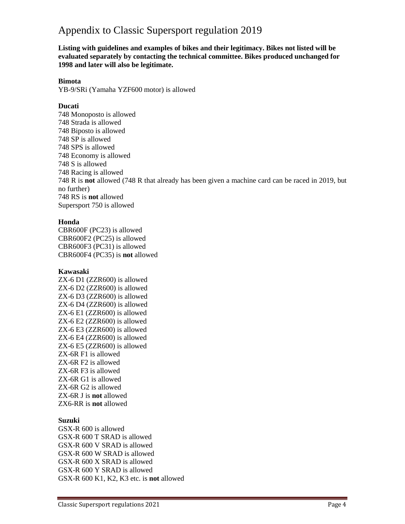# Appendix to Classic Supersport regulation 2019

**Listing with guidelines and examples of bikes and their legitimacy. Bikes not listed will be evaluated separately by contacting the technical committee. Bikes produced unchanged for 1998 and later will also be legitimate.** 

#### **Bimota**

YB-9/SRi (Yamaha YZF600 motor) is allowed

## **Ducati**

748 Monoposto is allowed 748 Strada is allowed 748 Biposto is allowed 748 SP is allowed 748 SPS is allowed 748 Economy is allowed 748 S is allowed 748 Racing is allowed 748 R is **not** allowed (748 R that already has been given a machine card can be raced in 2019, but no further) 748 RS is **not** allowed Supersport 750 is allowed

## **Honda**

CBR600F (PC23) is allowed CBR600F2 (PC25) is allowed CBR600F3 (PC31) is allowed CBR600F4 (PC35) is **not** allowed

## **Kawasaki**

ZX-6 D1 (ZZR600) is allowed ZX-6 D2 (ZZR600) is allowed ZX-6 D3 (ZZR600) is allowed ZX-6 D4 (ZZR600) is allowed ZX-6 E1 (ZZR600) is allowed ZX-6 E2 (ZZR600) is allowed ZX-6 E3 (ZZR600) is allowed ZX-6 E4 (ZZR600) is allowed ZX-6 E5 (ZZR600) is allowed ZX-6R F1 is allowed ZX-6R F2 is allowed ZX-6R F3 is allowed ZX-6R G1 is allowed ZX-6R G2 is allowed ZX-6R J is **not** allowed ZX6-RR is **not** allowed

# **Suzuki**

GSX-R 600 is allowed GSX-R 600 T SRAD is allowed GSX-R 600 V SRAD is allowed GSX-R 600 W SRAD is allowed GSX-R 600 X SRAD is allowed GSX-R 600 Y SRAD is allowed GSX-R 600 K1, K2, K3 etc. is **not** allowed